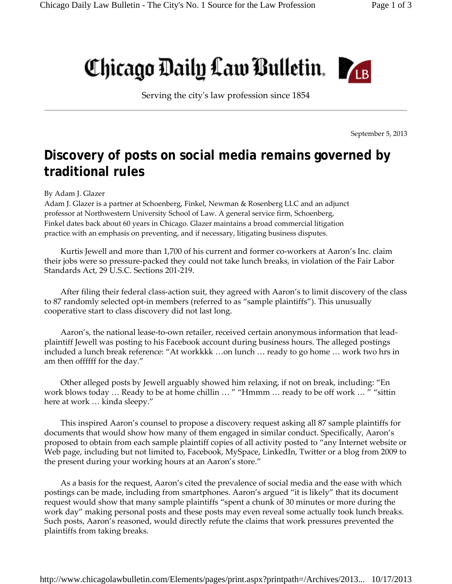## Chicago Daily Law Bulletin.

Serving the cityʹs law profession since 1854

September 5, 2013

## **Discovery of posts on social media remains governed by traditional rules**

## By Adam J. Glazer

Adam J. Glazer is a partner at Schoenberg, Finkel, Newman & Rosenberg LLC and an adjunct professor at Northwestern University School of Law. A general service firm, Schoenberg, Finkel dates back about 60 years in Chicago. Glazer maintains a broad commercial litigation practice with an emphasis on preventing, and if necessary, litigating business disputes.

Kurtis Jewell and more than 1,700 of his current and former co-workers at Aaron's Inc. claim their jobs were so pressure‐packed they could not take lunch breaks, in violation of the Fair Labor Standards Act, 29 U.S.C. Sections 201‐219.

After filing their federal class‐action suit, they agreed with Aaron's to limit discovery of the class to 87 randomly selected opt-in members (referred to as "sample plaintiffs"). This unusually cooperative start to class discovery did not last long.

Aaron's, the national lease‐to‐own retailer, received certain anonymous information that lead‐ plaintiff Jewell was posting to his Facebook account during business hours. The alleged postings included a lunch break reference: "At workkkk …on lunch … ready to go home … work two hrs in am then offffff for the day."

Other alleged posts by Jewell arguably showed him relaxing, if not on break, including: "En work blows today ... Ready to be at home chillin ... " "Hmmm ... ready to be off work ... " "sittin here at work … kinda sleepy."

This inspired Aaron's counsel to propose a discovery request asking all 87 sample plaintiffs for documents that would show how many of them engaged in similar conduct. Specifically, Aaron's proposed to obtain from each sample plaintiff copies of all activity posted to "any Internet website or Web page, including but not limited to, Facebook, MySpace, LinkedIn, Twitter or a blog from 2009 to the present during your working hours at an Aaron's store."

As a basis for the request, Aaron's cited the prevalence of social media and the ease with which postings can be made, including from smartphones. Aaron's argued "it is likely" that its document request would show that many sample plaintiffs "spent a chunk of 30 minutes or more during the work day" making personal posts and these posts may even reveal some actually took lunch breaks. Such posts, Aaron's reasoned, would directly refute the claims that work pressures prevented the plaintiffs from taking breaks.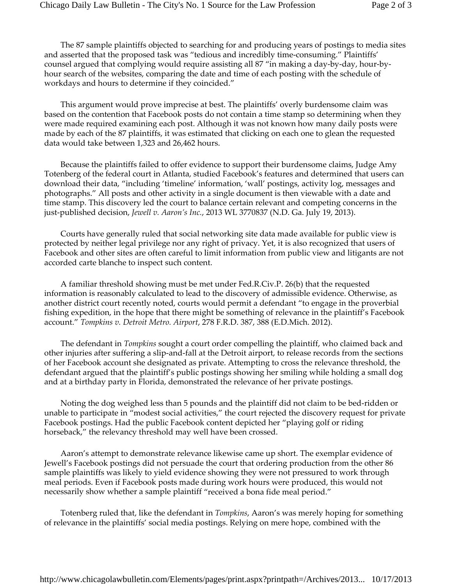The 87 sample plaintiffs objected to searching for and producing years of postings to media sites and asserted that the proposed task was "tedious and incredibly time‐consuming." Plaintiffs' counsel argued that complying would require assisting all 87 "in making a day‐by‐day, hour‐by‐ hour search of the websites, comparing the date and time of each posting with the schedule of workdays and hours to determine if they coincided."

This argument would prove imprecise at best. The plaintiffs' overly burdensome claim was based on the contention that Facebook posts do not contain a time stamp so determining when they were made required examining each post. Although it was not known how many daily posts were made by each of the 87 plaintiffs, it was estimated that clicking on each one to glean the requested data would take between 1,323 and 26,462 hours.

Because the plaintiffs failed to offer evidence to support their burdensome claims, Judge Amy Totenberg of the federal court in Atlanta, studied Facebook's features and determined that users can download their data, "including 'timeline' information, 'wall' postings, activity log, messages and photographs." All posts and other activity in a single document is then viewable with a date and time stamp. This discovery led the court to balance certain relevant and competing concerns in the just‐published decision, *Jewell v. Aaron's Inc.*, 2013 WL 3770837 (N.D. Ga. July 19, 2013).

Courts have generally ruled that social networking site data made available for public view is protected by neither legal privilege nor any right of privacy. Yet, it is also recognized that users of Facebook and other sites are often careful to limit information from public view and litigants are not accorded carte blanche to inspect such content.

A familiar threshold showing must be met under Fed.R.Civ.P. 26(b) that the requested information is reasonably calculated to lead to the discovery of admissible evidence. Otherwise, as another district court recently noted, courts would permit a defendant "to engage in the proverbial fishing expedition, in the hope that there might be something of relevance in the plaintiff's Facebook account." *Tompkins v. Detroit Metro. Airport*, 278 F.R.D. 387, 388 (E.D.Mich. 2012).

The defendant in *Tompkins* sought a court order compelling the plaintiff, who claimed back and other injuries after suffering a slip‐and‐fall at the Detroit airport, to release records from the sections of her Facebook account she designated as private. Attempting to cross the relevance threshold, the defendant argued that the plaintiff's public postings showing her smiling while holding a small dog and at a birthday party in Florida, demonstrated the relevance of her private postings.

Noting the dog weighed less than 5 pounds and the plaintiff did not claim to be bed‐ridden or unable to participate in "modest social activities," the court rejected the discovery request for private Facebook postings. Had the public Facebook content depicted her "playing golf or riding horseback," the relevancy threshold may well have been crossed.

Aaron's attempt to demonstrate relevance likewise came up short. The exemplar evidence of Jewell's Facebook postings did not persuade the court that ordering production from the other 86 sample plaintiffs was likely to yield evidence showing they were not pressured to work through meal periods. Even if Facebook posts made during work hours were produced, this would not necessarily show whether a sample plaintiff "received a bona fide meal period."

Totenberg ruled that, like the defendant in *Tompkins*, Aaron's was merely hoping for something of relevance in the plaintiffs' social media postings. Relying on mere hope, combined with the